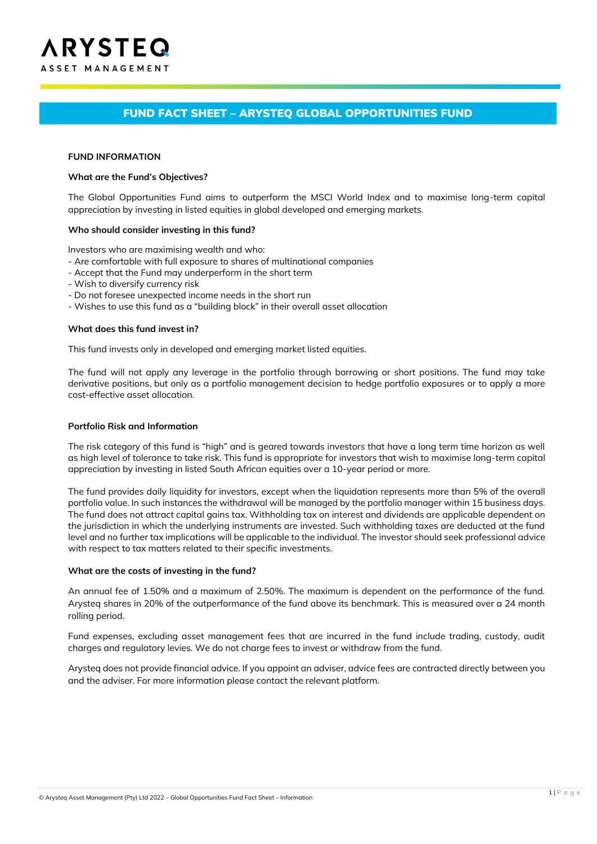# FUND FACT SHEET – ARYSTEQ GLOBAL OPPORTUNITIES FUND

#### **FUND INFORMATION**

#### **What are the Fund's Objectives?**

The Global Opportunities Fund aims to outperform the MSCI World Index and to maximise long-term capital appreciation by investing in listed equities in global developed and emerging markets.

#### **Who should consider investing in this fund?**

Investors who are maximising wealth and who:

- Are comfortable with full exposure to shares of multinational companies
- Accept that the Fund may underperform in the short term
- Wish to diversify currency risk
- Do not foresee unexpected income needs in the short run
- Wishes to use this fund as a "building block" in their overall asset allocation

#### **What does this fund invest in?**

This fund invests only in developed and emerging market listed equities.

The fund will not apply any leverage in the portfolio through borrowing or short positions. The fund may take derivative positions, but only as a portfolio management decision to hedge portfolio exposures or to apply a more cost-effective asset allocation.

### **Portfolio Risk and Information**

The risk category of this fund is "high" and is geared towards investors that have a long term time horizon as well as high level of tolerance to take risk. This fund is appropriate for investors that wish to maximise long-term capital appreciation by investing in listed South African equities over a 10-year period or more.

The fund provides daily liquidity for investors, except when the liquidation represents more than 5% of the overall portfolio value. In such instances the withdrawal will be managed by the portfolio manager within 15 business days. The fund does not attract capital gains tax. Withholding tax on interest and dividends are applicable dependent on the jurisdiction in which the underlying instruments are invested. Such withholding taxes are deducted at the fund level and no further tax implications will be applicable to the individual. The investor should seek professional advice with respect to tax matters related to their specific investments.

#### **What are the costs of investing in the fund?**

An annual fee of 1.50% and a maximum of 2.50%. The maximum is dependent on the performance of the fund. Arysteq shares in 20% of the outperformance of the fund above its benchmark. This is measured over a 24 month rolling period.

Fund expenses, excluding asset management fees that are incurred in the fund include trading, custody, audit charges and regulatory levies. We do not charge fees to invest or withdraw from the fund.

Arysteq does not provide financial advice. If you appoint an adviser, advice fees are contracted directly between you and the adviser. For more information please contact the relevant platform.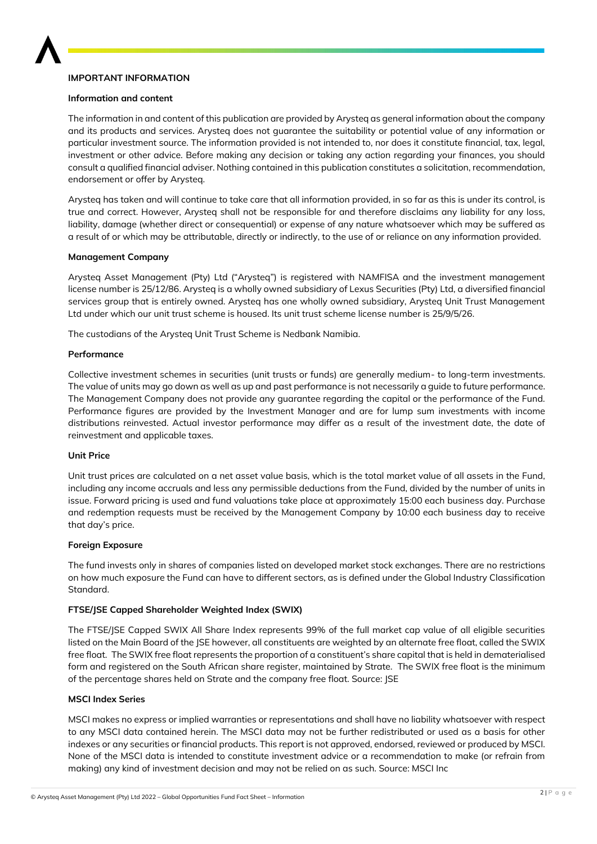

## **IMPORTANT INFORMATION**

### **Information and content**

The information in and content of this publication are provided by Arysteq as general information about the company and its products and services. Arysteq does not guarantee the suitability or potential value of any information or particular investment source. The information provided is not intended to, nor does it constitute financial, tax, legal, investment or other advice. Before making any decision or taking any action regarding your finances, you should consult a qualified financial adviser. Nothing contained in this publication constitutes a solicitation, recommendation, endorsement or offer by Arysteq.

Arysteq has taken and will continue to take care that all information provided, in so far as this is under its control, is true and correct. However, Arysteq shall not be responsible for and therefore disclaims any liability for any loss, liability, damage (whether direct or consequential) or expense of any nature whatsoever which may be suffered as a result of or which may be attributable, directly or indirectly, to the use of or reliance on any information provided.

## **Management Company**

Arysteq Asset Management (Pty) Ltd ("Arysteq") is registered with NAMFISA and the investment management license number is 25/12/86. Arysteq is a wholly owned subsidiary of Lexus Securities (Pty) Ltd, a diversified financial services group that is entirely owned. Arysteq has one wholly owned subsidiary, Arysteq Unit Trust Management Ltd under which our unit trust scheme is housed. Its unit trust scheme license number is 25/9/5/26.

The custodians of the Arysteq Unit Trust Scheme is Nedbank Namibia.

### **Performance**

Collective investment schemes in securities (unit trusts or funds) are generally medium- to long-term investments. The value of units may go down as well as up and past performance is not necessarily a guide to future performance. The Management Company does not provide any guarantee regarding the capital or the performance of the Fund. Performance figures are provided by the Investment Manager and are for lump sum investments with income distributions reinvested. Actual investor performance may differ as a result of the investment date, the date of reinvestment and applicable taxes.

## **Unit Price**

Unit trust prices are calculated on a net asset value basis, which is the total market value of all assets in the Fund, including any income accruals and less any permissible deductions from the Fund, divided by the number of units in issue. Forward pricing is used and fund valuations take place at approximately 15:00 each business day. Purchase and redemption requests must be received by the Management Company by 10:00 each business day to receive that day's price.

#### **Foreign Exposure**

The fund invests only in shares of companies listed on developed market stock exchanges. There are no restrictions on how much exposure the Fund can have to different sectors, as is defined under the Global Industry Classification Standard.

## **FTSE/JSE Capped Shareholder Weighted Index (SWIX)**

The FTSE/JSE Capped SWIX All Share Index represents 99% of the full market cap value of all eligible securities listed on the Main Board of the JSE however, all constituents are weighted by an alternate free float, called the SWIX free float. The SWIX free float represents the proportion of a constituent's share capital that is held in dematerialised form and registered on the South African share register, maintained by Strate. The SWIX free float is the minimum of the percentage shares held on Strate and the company free float. Source: JSE

## **MSCI Index Series**

MSCI makes no express or implied warranties or representations and shall have no liability whatsoever with respect to any MSCI data contained herein. The MSCI data may not be further redistributed or used as a basis for other indexes or any securities or financial products. This report is not approved, endorsed, reviewed or produced by MSCI. None of the MSCI data is intended to constitute investment advice or a recommendation to make (or refrain from making) any kind of investment decision and may not be relied on as such. Source: MSCI Inc